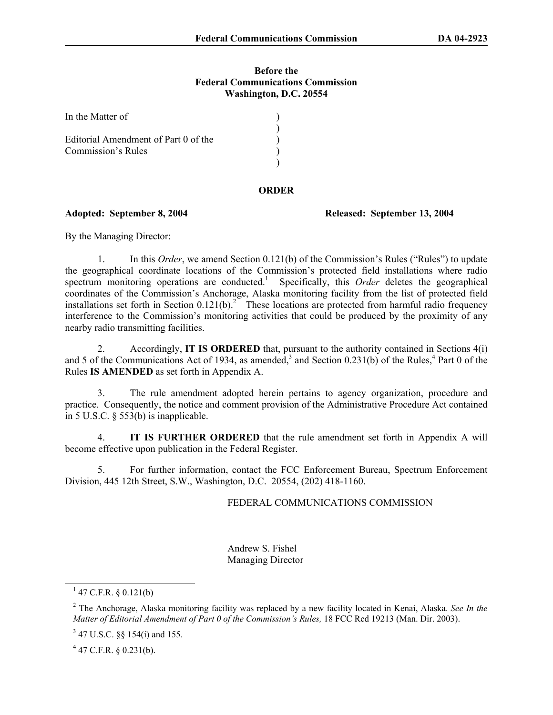## **Before the Federal Communications Commission Washington, D.C. 20554**

| In the Matter of                     |  |
|--------------------------------------|--|
| Editorial Amendment of Part 0 of the |  |
| <b>Commission's Rules</b>            |  |

## **ORDER**

## **Adopted: September 8, 2004 Released: September 13, 2004**

By the Managing Director:

1. In this *Order*, we amend Section 0.121(b) of the Commission's Rules ("Rules") to update the geographical coordinate locations of the Commission's protected field installations where radio spectrum monitoring operations are conducted.<sup>1</sup> Specifically, this *Order* deletes the geographical coordinates of the Commission's Anchorage, Alaska monitoring facility from the list of protected field installations set forth in Section  $0.121(b)$ .<sup>2</sup> These locations are protected from harmful radio frequency interference to the Commission's monitoring activities that could be produced by the proximity of any nearby radio transmitting facilities.

2. Accordingly, **IT IS ORDERED** that, pursuant to the authority contained in Sections 4(i) and 5 of the Communications Act of 1934, as amended,<sup>3</sup> and Section 0.231(b) of the Rules,<sup>4</sup> Part 0 of the Rules **IS AMENDED** as set forth in Appendix A.

3. The rule amendment adopted herein pertains to agency organization, procedure and practice. Consequently, the notice and comment provision of the Administrative Procedure Act contained in 5 U.S.C. § 553(b) is inapplicable.

4. **IT IS FURTHER ORDERED** that the rule amendment set forth in Appendix A will become effective upon publication in the Federal Register.

5. For further information, contact the FCC Enforcement Bureau, Spectrum Enforcement Division, 445 12th Street, S.W., Washington, D.C. 20554, (202) 418-1160.

## FEDERAL COMMUNICATIONS COMMISSION

 Andrew S. Fishel Managing Director

 $4$  47 C.F.R. § 0.231(b).

 $^{1}$  47 C.F.R. § 0.121(b)

<sup>2</sup> The Anchorage, Alaska monitoring facility was replaced by a new facility located in Kenai, Alaska. *See In the Matter of Editorial Amendment of Part 0 of the Commission's Rules,* 18 FCC Rcd 19213 (Man. Dir. 2003).

 $3$  47 U.S.C. §§ 154(i) and 155.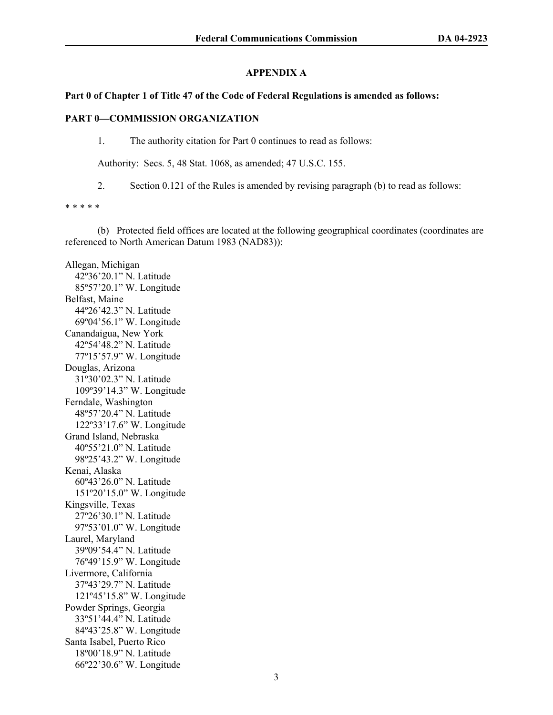# **APPENDIX A**

## **Part 0 of Chapter 1 of Title 47 of the Code of Federal Regulations is amended as follows:**

## **PART 0—COMMISSION ORGANIZATION**

1. The authority citation for Part 0 continues to read as follows:

Authority: Secs. 5, 48 Stat. 1068, as amended; 47 U.S.C. 155.

2. Section 0.121 of the Rules is amended by revising paragraph (b) to read as follows:

\* \* \* \* \*

 (b) Protected field offices are located at the following geographical coordinates (coordinates are referenced to North American Datum 1983 (NAD83)):

Allegan, Michigan 42º36'20.1" N. Latitude 85º57'20.1" W. Longitude Belfast, Maine 44º26'42.3" N. Latitude 69º04'56.1" W. Longitude Canandaigua, New York 42º54'48.2" N. Latitude 77º15'57.9" W. Longitude Douglas, Arizona 31º30'02.3" N. Latitude 109º39'14.3" W. Longitude Ferndale, Washington 48º57'20.4" N. Latitude 122º33'17.6" W. Longitude Grand Island, Nebraska 40º55'21.0" N. Latitude 98º25'43.2" W. Longitude Kenai, Alaska 60º43'26.0" N. Latitude 151º20'15.0" W. Longitude Kingsville, Texas 27º26'30.1" N. Latitude 97º53'01.0" W. Longitude Laurel, Maryland 39º09'54.4" N. Latitude 76º49'15.9" W. Longitude Livermore, California 37º43'29.7" N. Latitude 121º45'15.8" W. Longitude Powder Springs, Georgia 33º51'44.4" N. Latitude 84º43'25.8" W. Longitude Santa Isabel, Puerto Rico 18º00'18.9" N. Latitude 66º22'30.6" W. Longitude